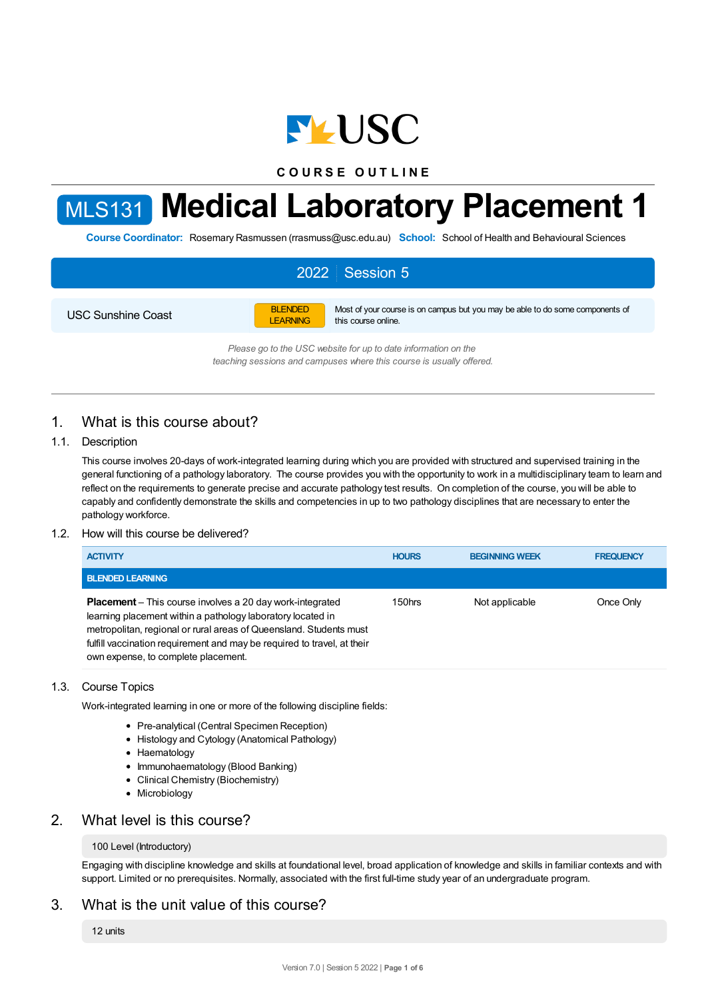

**C O U R S E O U T L I N E**

# MLS131 **Medical Laboratory Placement 1**

**Course Coordinator:** Rosemary Rasmussen (rrasmuss@usc.edu.au) **School:** School of Health and Behavioural Sciences

# 2022 Session 5

USC Sunshine Coast

**BLENDED** LEARNING Most of your course is on campus but you may be able to do some components of this course online.

*Please go to the USC website for up to date information on the teaching sessions and campuses where this course is usually offered.*

# 1. What is this course about?

#### 1.1. Description

This course involves 20-days of work-integrated learning during which you are provided with structured and supervised training in the general functioning of a pathology laboratory. The course provides you with the opportunity to work in a multidisciplinary team to learn and reflect on the requirements to generate precise and accurate pathology test results. On completion of the course, you will be able to capably and confidently demonstrate the skills and competencies in up to two pathology disciplines that are necessary to enter the pathology workforce.

#### 1.2. How will this course be delivered?

| <b>ACTIVITY</b>                                                                                                                                                                                                                                                                                                         | <b>HOURS</b> | <b>BEGINNING WEEK</b> | <b>FREQUENCY</b> |
|-------------------------------------------------------------------------------------------------------------------------------------------------------------------------------------------------------------------------------------------------------------------------------------------------------------------------|--------------|-----------------------|------------------|
| <b>BLENDED LEARNING</b>                                                                                                                                                                                                                                                                                                 |              |                       |                  |
| <b>Placement</b> – This course involves a 20 day work-integrated<br>learning placement within a pathology laboratory located in<br>metropolitan, regional or rural areas of Queensland. Students must<br>fulfill vaccination requirement and may be required to travel, at their<br>own expense, to complete placement. | 150hrs       | Not applicable        | Once Only        |

#### 1.3. Course Topics

Work-integrated learning in one or more of the following discipline fields:

- Pre-analytical (Central Specimen Reception)
- Histology and Cytology (Anatomical Pathology)
- Haematology
- Immunohaematology (Blood Banking)
- Clinical Chemistry (Biochemistry)
- Microbiology

## 2. What level is this course?

#### 100 Level (Introductory)

Engaging with discipline knowledge and skills at foundational level, broad application of knowledge and skills in familiar contexts and with support. Limited or no prerequisites. Normally, associated with the first full-time study year of an undergraduate program.

# 3. What is the unit value of this course?

12 units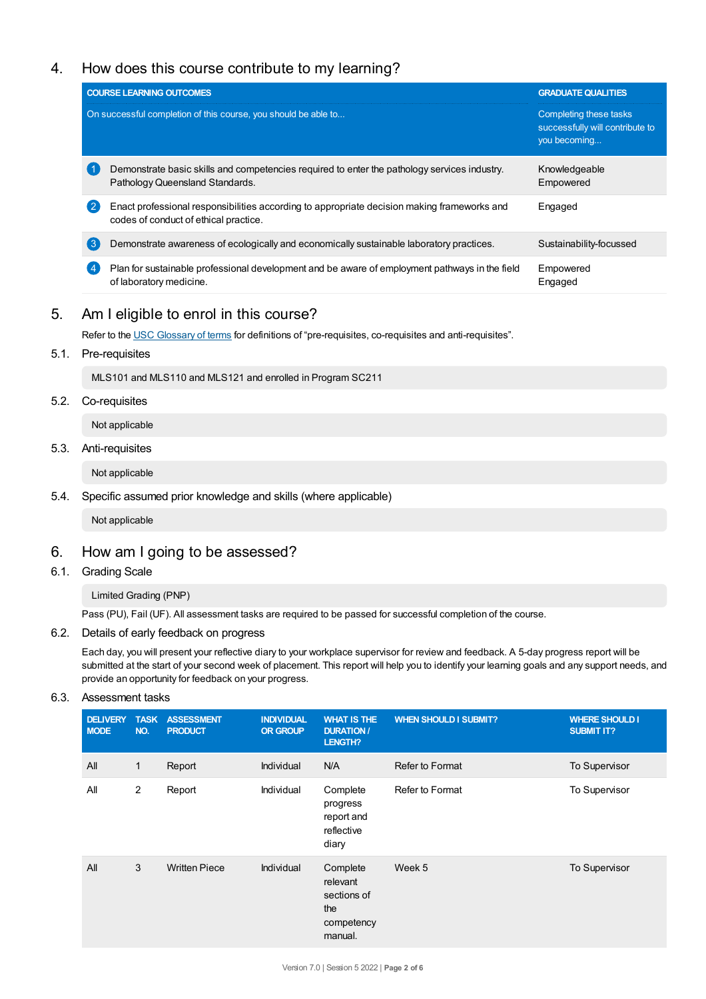# 4. How does this course contribute to my learning?

|                | <b>COURSE LEARNING OUTCOMES</b>                                                                                                      | <b>GRADUATE QUALITIES</b>                                                 |
|----------------|--------------------------------------------------------------------------------------------------------------------------------------|---------------------------------------------------------------------------|
|                | On successful completion of this course, you should be able to                                                                       | Completing these tasks<br>successfully will contribute to<br>you becoming |
|                | Demonstrate basic skills and competencies required to enter the pathology services industry.<br>Pathology Queensland Standards.      | Knowledgeable<br>Empowered                                                |
| $^{\prime}$ 2  | Enact professional responsibilities according to appropriate decision making frameworks and<br>codes of conduct of ethical practice. | Engaged                                                                   |
| $\mathbf{3}$   | Demonstrate awareness of ecologically and economically sustainable laboratory practices.                                             | Sustainability-focussed                                                   |
| $\overline{4}$ | Plan for sustainable professional development and be aware of employment pathways in the field<br>of laboratory medicine.            | Empowered<br>Engaged                                                      |
|                |                                                                                                                                      |                                                                           |

# 5. Am Ieligible to enrol in this course?

Refer to the USC [Glossary](https://www.usc.edu.au/about/policies-and-procedures/glossary-of-terms-for-policy-and-procedures) of terms for definitions of "pre-requisites, co-requisites and anti-requisites".

5.1. Pre-requisites

MLS101 and MLS110 and MLS121 and enrolled in Program SC211

## 5.2. Co-requisites

Not applicable

#### 5.3. Anti-requisites

Not applicable

## 5.4. Specific assumed prior knowledge and skills (where applicable)

Not applicable

## 6. How am Igoing to be assessed?

6.1. Grading Scale

Limited Grading (PNP)

Pass (PU), Fail (UF). All assessment tasks are required to be passed for successful completion of the course.

## 6.2. Details of early feedback on progress

Each day, you will present your reflective diary to your workplace supervisor for review and feedback. A 5-day progress report will be submitted at the start of your second week of placement. This report will help you to identify your learning goals and any support needs, and provide an opportunity for feedback on your progress.

## 6.3. Assessment tasks

| <b>DELIVERY</b><br><b>MODE</b> | <b>TASK</b><br>NO. | <b>ASSESSMENT</b><br><b>PRODUCT</b> | <b>INDIVIDUAL</b><br><b>OR GROUP</b> | <b>WHAT IS THE</b><br><b>DURATION /</b><br>LENGTH?                  | <b>WHEN SHOULD I SUBMIT?</b> | <b>WHERE SHOULD I</b><br><b>SUBMIT IT?</b> |
|--------------------------------|--------------------|-------------------------------------|--------------------------------------|---------------------------------------------------------------------|------------------------------|--------------------------------------------|
| All                            | $\mathbf{1}$       | Report                              | Individual                           | N/A                                                                 | Refer to Format              | To Supervisor                              |
| All                            | $\overline{2}$     | Report                              | Individual                           | Complete<br>progress<br>report and<br>reflective<br>diary           | Refer to Format              | To Supervisor                              |
| All                            | 3                  | <b>Written Piece</b>                | Individual                           | Complete<br>relevant<br>sections of<br>the<br>competency<br>manual. | Week 5                       | To Supervisor                              |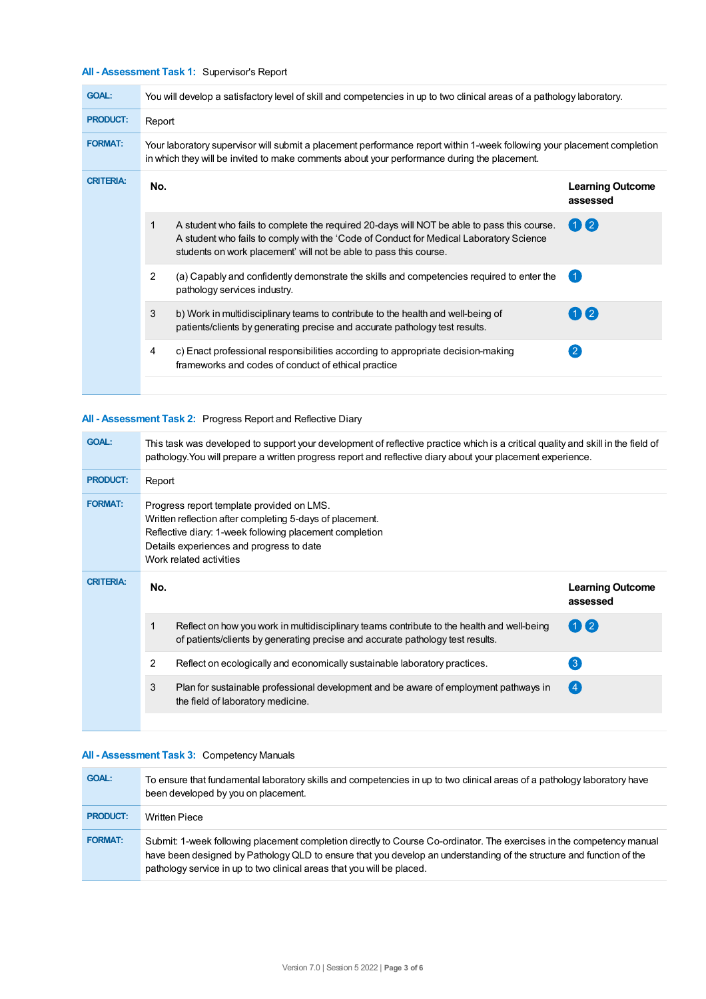# **All - Assessment Task 1:** Supervisor's Report

| <b>GOAL:</b>     | You will develop a satisfactory level of skill and competencies in up to two clinical areas of a pathology laboratory.                                                                                                 |                                                                                                                                                                                                                                                           |                                     |  |  |
|------------------|------------------------------------------------------------------------------------------------------------------------------------------------------------------------------------------------------------------------|-----------------------------------------------------------------------------------------------------------------------------------------------------------------------------------------------------------------------------------------------------------|-------------------------------------|--|--|
| <b>PRODUCT:</b>  | Report                                                                                                                                                                                                                 |                                                                                                                                                                                                                                                           |                                     |  |  |
| <b>FORMAT:</b>   | Your laboratory supervisor will submit a placement performance report within 1-week following your placement completion<br>in which they will be invited to make comments about your performance during the placement. |                                                                                                                                                                                                                                                           |                                     |  |  |
| <b>CRITERIA:</b> | No.                                                                                                                                                                                                                    |                                                                                                                                                                                                                                                           | <b>Learning Outcome</b><br>assessed |  |  |
|                  | 1                                                                                                                                                                                                                      | A student who fails to complete the required 20-days will NOT be able to pass this course.<br>A student who fails to comply with the 'Code of Conduct for Medical Laboratory Science<br>students on work placement' will not be able to pass this course. | $(1)$ (2)                           |  |  |
|                  | 2                                                                                                                                                                                                                      | (a) Capably and confidently demonstrate the skills and competencies required to enter the<br>pathology services industry.                                                                                                                                 |                                     |  |  |
|                  | 3                                                                                                                                                                                                                      | b) Work in multidisciplinary teams to contribute to the health and well-being of<br>patients/clients by generating precise and accurate pathology test results.                                                                                           | 【2】                                 |  |  |
|                  | 4                                                                                                                                                                                                                      | c) Enact professional responsibilities according to appropriate decision-making<br>frameworks and codes of conduct of ethical practice                                                                                                                    | $\overline{2}$                      |  |  |
|                  |                                                                                                                                                                                                                        |                                                                                                                                                                                                                                                           |                                     |  |  |

## **All - Assessment Task 2:** Progress Report and Reflective Diary

| <b>GOAL:</b>     | This task was developed to support your development of reflective practice which is a critical quality and skill in the field of<br>pathology. You will prepare a written progress report and reflective diary about your placement experience. |                                                                                                                                                                              |                                     |  |
|------------------|-------------------------------------------------------------------------------------------------------------------------------------------------------------------------------------------------------------------------------------------------|------------------------------------------------------------------------------------------------------------------------------------------------------------------------------|-------------------------------------|--|
| <b>PRODUCT:</b>  | Report                                                                                                                                                                                                                                          |                                                                                                                                                                              |                                     |  |
| <b>FORMAT:</b>   | Progress report template provided on LMS.<br>Written reflection after completing 5-days of placement.<br>Reflective diary: 1-week following placement completion<br>Details experiences and progress to date<br>Work related activities         |                                                                                                                                                                              |                                     |  |
| <b>CRITERIA:</b> | No.                                                                                                                                                                                                                                             |                                                                                                                                                                              | <b>Learning Outcome</b><br>assessed |  |
|                  | 1                                                                                                                                                                                                                                               | Reflect on how you work in multidisciplinary teams contribute to the health and well-being<br>of patients/clients by generating precise and accurate pathology test results. | $(1)$ (2)                           |  |
|                  | 2                                                                                                                                                                                                                                               | Reflect on ecologically and economically sustainable laboratory practices.                                                                                                   | $\left[3\right]$                    |  |
|                  | 3                                                                                                                                                                                                                                               | Plan for sustainable professional development and be aware of employment pathways in<br>the field of laboratory medicine.                                                    | (4)                                 |  |
|                  |                                                                                                                                                                                                                                                 |                                                                                                                                                                              |                                     |  |

# **All - Assessment Task 3:** Competency Manuals

| <b>GOAL:</b>    | To ensure that fundamental laboratory skills and competencies in up to two clinical areas of a pathology laboratory have<br>been developed by you on placement.                                                                                                                                                         |
|-----------------|-------------------------------------------------------------------------------------------------------------------------------------------------------------------------------------------------------------------------------------------------------------------------------------------------------------------------|
| <b>PRODUCT:</b> | <b>Written Piece</b>                                                                                                                                                                                                                                                                                                    |
| <b>FORMAT:</b>  | Submit: 1-week following placement completion directly to Course Co-ordinator. The exercises in the competency manual<br>have been designed by Pathology QLD to ensure that you develop an understanding of the structure and function of the<br>pathology service in up to two clinical areas that you will be placed. |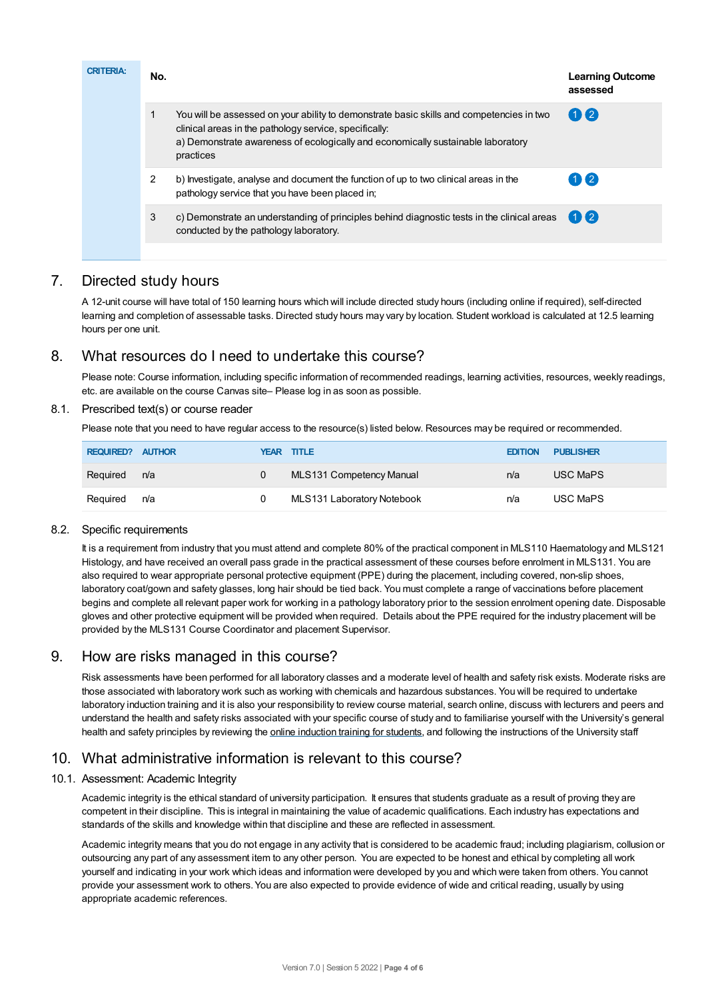| <b>CRITERIA:</b> | No. |                                                                                                                                                                                                                                                     | <b>Learning Outcome</b><br>assessed |
|------------------|-----|-----------------------------------------------------------------------------------------------------------------------------------------------------------------------------------------------------------------------------------------------------|-------------------------------------|
|                  | 1   | You will be assessed on your ability to demonstrate basic skills and competencies in two<br>clinical areas in the pathology service, specifically:<br>a) Demonstrate awareness of ecologically and economically sustainable laboratory<br>practices | $\mathbf{0}$                        |
|                  | 2   | b) Investigate, analyse and document the function of up to two clinical areas in the<br>pathology service that you have been placed in;                                                                                                             | 02                                  |
|                  | 3   | c) Demonstrate an understanding of principles behind diagnostic tests in the clinical areas<br>conducted by the pathology laboratory.                                                                                                               | $\mathbf{1}$ $\mathbf{2}$           |
|                  |     |                                                                                                                                                                                                                                                     |                                     |

# 7. Directed study hours

A 12-unit course will have total of 150 learning hours which will include directed study hours (including online if required), self-directed learning and completion of assessable tasks. Directed study hours may vary by location. Student workload is calculated at 12.5 learning hours per one unit.

# 8. What resources do I need to undertake this course?

Please note: Course information, including specific information of recommended readings, learning activities, resources, weekly readings, etc. are available on the course Canvas site– Please log in as soon as possible.

## 8.1. Prescribed text(s) or course reader

Please note that you need to have regular access to the resource(s) listed below. Resources may be required or recommended.

| <b>REQUIRED? AUTHOR</b> |     |   | <b>YEAR TITLE</b>          | <b>EDITION</b> | <b>PUBLISHER</b> |
|-------------------------|-----|---|----------------------------|----------------|------------------|
| Reguired                | n/a | 0 | MLS131 Competency Manual   | n/a            | <b>USC MaPS</b>  |
| Reguired                | n/a |   | MLS131 Laboratory Notebook | n/a            | USC MaPS         |

## 8.2. Specific requirements

It is a requirement from industry that you must attend and complete 80% of the practical component in MLS110 Haematology and MLS121 Histology, and have received an overall pass grade in the practical assessment of these courses before enrolment in MLS131. You are also required to wear appropriate personal protective equipment (PPE) during the placement, including covered, non-slip shoes, laboratory coat/gown and safety glasses, long hair should be tied back. You must complete a range of vaccinations before placement begins and complete all relevant paper work for working in a pathology laboratory prior to the session enrolment opening date. Disposable gloves and other protective equipment will be provided when required. Details about the PPE required for the industry placement will be provided by the MLS131 Course Coordinator and placement Supervisor.

# 9. How are risks managed in this course?

Risk assessments have been performed for all laboratory classes and a moderate level of health and safety risk exists. Moderate risks are those associated with laboratory work such as working with chemicals and hazardous substances. You will be required to undertake laboratory induction training and it is also your responsibility to review course material, search online, discuss with lecturers and peers and understand the health and safety risks associated with your specific course of study and to familiarise yourself with the University's general health and safety principles by reviewing the online [induction](https://online.usc.edu.au/webapps/blackboard/content/listContentEditable.jsp?content_id=_632657_1&course_id=_14432_1) training for students, and following the instructions of the University staff

# 10. What administrative information is relevant to this course?

## 10.1. Assessment: Academic Integrity

Academic integrity is the ethical standard of university participation. It ensures that students graduate as a result of proving they are competent in their discipline. This is integral in maintaining the value of academic qualifications. Each industry has expectations and standards of the skills and knowledge within that discipline and these are reflected in assessment.

Academic integrity means that you do not engage in any activity that is considered to be academic fraud; including plagiarism, collusion or outsourcing any part of any assessment item to any other person. You are expected to be honest and ethical by completing all work yourself and indicating in your work which ideas and information were developed by you and which were taken from others. You cannot provide your assessment work to others.You are also expected to provide evidence of wide and critical reading, usually by using appropriate academic references.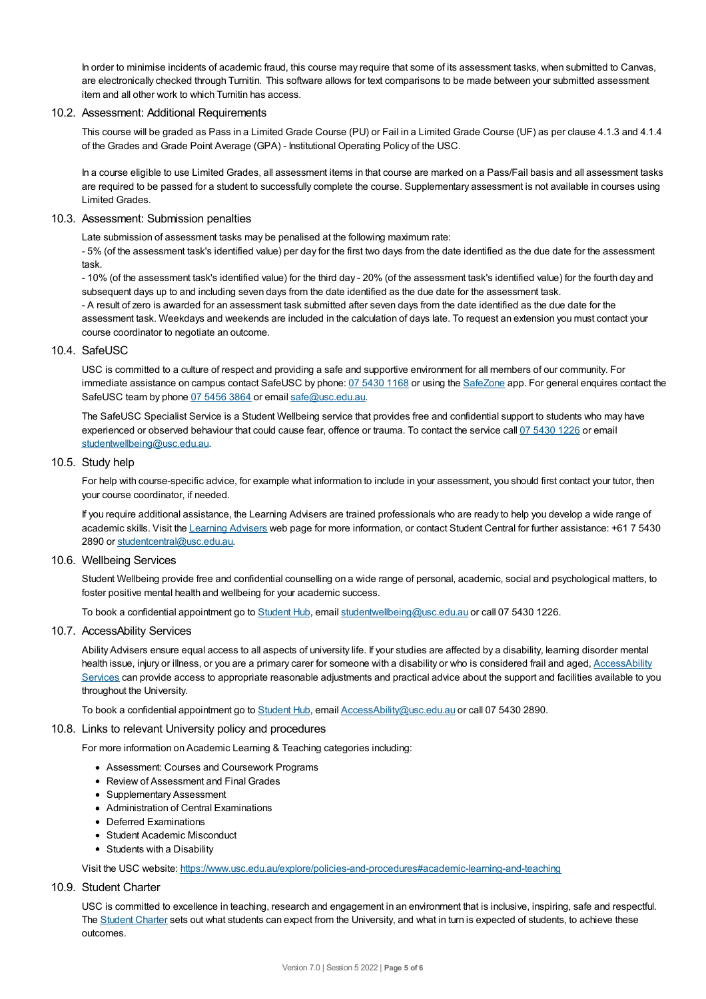In order to minimise incidents of academic fraud, this course may require that some of its assessment tasks, when submitted to Canvas, are electronically checked through Turnitin. This software allows for text comparisons to be made between your submitted assessment item and all other work to which Turnitin has access.

## 10.2. Assessment: Additional Requirements

This course will be graded as Pass in a Limited Grade Course (PU) or Fail in a Limited Grade Course (UF) as per clause 4.1.3 and 4.1.4 of the Grades and Grade Point Average (GPA) - Institutional Operating Policy of the USC.

In a course eligible to use Limited Grades, all assessment items in that course are marked on a Pass/Fail basis and all assessment tasks are required to be passed for a student to successfully complete the course. Supplementary assessment is not available in courses using Limited Grades.

#### 10.3. Assessment: Submission penalties

Late submission of assessment tasks may be penalised at the following maximum rate:

- 5% (of the assessment task's identified value) per day for the first two days from the date identified as the due date for the assessment task.

- 10% (of the assessment task's identified value) for the third day - 20% (of the assessment task's identified value) for the fourth day and subsequent days up to and including seven days from the date identified as the due date for the assessment task.

- A result of zero is awarded for an assessment task submitted after seven days from the date identified as the due date for the assessment task. Weekdays and weekends are included in the calculation of days late. To request an extension you must contact your course coordinator to negotiate an outcome.

#### 10.4 SafeLISC

USC is committed to a culture of respect and providing a safe and supportive environment for all members of our community. For immediate assistance on campus contact SafeUSC by phone: 07 [5430](tel:07%205430%201168) 1168 or using the [SafeZone](https://www.safezoneapp.com) app. For general enquires contact the SafeUSC team by phone 07 [5456](tel:07%205456%203864) 3864 or email [safe@usc.edu.au](mailto:safe@usc.edu.au).

The SafeUSC Specialist Service is a Student Wellbeing service that provides free and confidential support to students who may have experienced or observed behaviour that could cause fear, offence or trauma. To contact the service call 07 [5430](tel:07%205430%201226) 1226 or email [studentwellbeing@usc.edu.au](mailto:studentwellbeing@usc.edu.au).

#### 10.5. Study help

For help with course-specific advice, for example what information to include in your assessment, you should first contact your tutor, then your course coordinator, if needed.

If you require additional assistance, the Learning Advisers are trained professionals who are ready to help you develop a wide range of academic skills. Visit the Learning [Advisers](https://www.usc.edu.au/current-students/student-support/academic-and-study-support/learning-advisers) web page for more information, or contact Student Central for further assistance: +61 7 5430 2890 or [studentcentral@usc.edu.au](mailto:studentcentral@usc.edu.au).

#### 10.6. Wellbeing Services

Student Wellbeing provide free and confidential counselling on a wide range of personal, academic, social and psychological matters, to foster positive mental health and wellbeing for your academic success.

To book a confidential appointment go to [Student](https://studenthub.usc.edu.au/) Hub, email [studentwellbeing@usc.edu.au](mailto:studentwellbeing@usc.edu.au) or call 07 5430 1226.

#### 10.7. AccessAbility Services

Ability Advisers ensure equal access to all aspects of university life. If your studies are affected by a disability, learning disorder mental health issue, injury or illness, or you are a primary carer for someone with a disability or who is considered frail and aged, [AccessAbility](https://www.usc.edu.au/learn/student-support/accessability-services/documentation-requirements) Services can provide access to appropriate reasonable adjustments and practical advice about the support and facilities available to you throughout the University.

To book a confidential appointment go to [Student](https://studenthub.usc.edu.au/) Hub, email [AccessAbility@usc.edu.au](mailto:AccessAbility@usc.edu.au) or call 07 5430 2890.

#### 10.8. Links to relevant University policy and procedures

For more information on Academic Learning & Teaching categories including:

- Assessment: Courses and Coursework Programs
- Review of Assessment and Final Grades
- Supplementary Assessment
- Administration of Central Examinations
- Deferred Examinations
- Student Academic Misconduct
- Students with a Disability

Visit the USC website: <https://www.usc.edu.au/explore/policies-and-procedures#academic-learning-and-teaching>

## 10.9. Student Charter

USC is committed to excellence in teaching, research and engagement in an environment that is inclusive, inspiring, safe and respectful. The [Student](https://www.usc.edu.au/current-students/student-charter) Charter sets out what students can expect from the University, and what in turn is expected of students, to achieve these outcomes.